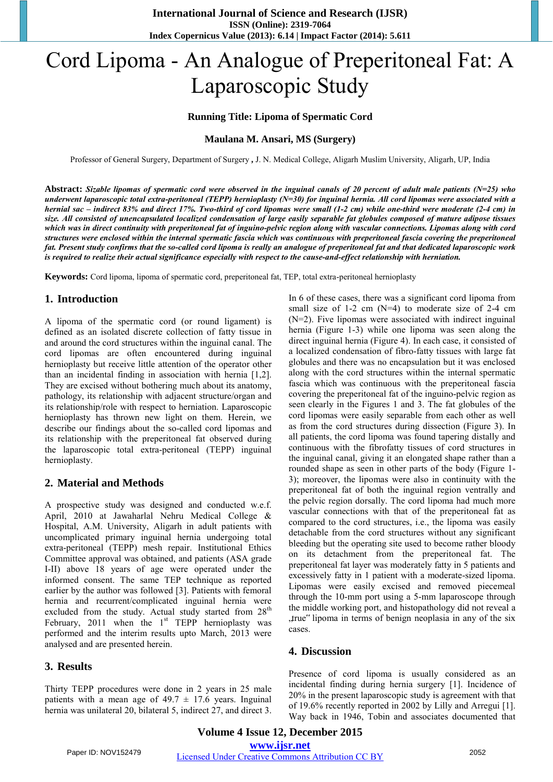# Cord Lipoma - An Analogue of Preperitoneal Fat: A Laparoscopic Study

## **Running Title: Lipoma of Spermatic Cord**

## **Maulana M. Ansari, MS (Surgery)**

Professor of General Surgery, Department of Surgery **,** J. N. Medical College, Aligarh Muslim University, Aligarh, UP, India

Abstract: Sizable lipomas of spermatic cord were observed in the inguinal canals of 20 percent of adult male patients  $(N=25)$  who underwent laparoscopic total extra-peritoneal (TEPP) hernioplasty ( $N=30$ ) for inguinal hernia. All cord lipomas were associated with a hernial sac - indirect 83% and direct 17%. Two-third of cord lipomas were small (1-2 cm) while one-third were moderate (2-4 cm) in size. All consisted of unencapsulated localized condensation of large easily separable fat globules composed of mature adipose tissues which was in direct continuity with preperitoneal fat of inguino-pelvic region along with vascular connections. Lipomas along with cord structures were enclosed within the internal spermatic fascia which was continuous with preperitoneal fascia covering the preperitoneal fat. Present study confirms that the so-called cord lipoma is really an analogue of preperitoneal fat and that dedicated laparoscopic work is required to realize their actual significance especially with respect to the cause-and-effect relationship with herniation.

**Keywords:** Cord lipoma, lipoma of spermatic cord, preperitoneal fat, TEP, total extra-peritoneal hernioplasty

## **1. Introduction**

A lipoma of the spermatic cord (or round ligament) is defined as an isolated discrete collection of fatty tissue in and around the cord structures within the inguinal canal. The cord lipomas are often encountered during inguinal hernioplasty but receive little attention of the operator other than an incidental finding in association with hernia [1,2]. They are excised without bothering much about its anatomy, pathology, its relationship with adjacent structure/organ and its relationship/role with respect to herniation. Laparoscopic hernioplasty has thrown new light on them. Herein, we describe our findings about the so-called cord lipomas and its relationship with the preperitoneal fat observed during the laparoscopic total extra-peritoneal (TEPP) inguinal hernioplasty.

## **2. Material and Methods**

A prospective study was designed and conducted w.e.f. April, 2010 at Jawaharlal Nehru Medical College & Hospital, A.M. University, Aligarh in adult patients with uncomplicated primary inguinal hernia undergoing total extra-peritoneal (TEPP) mesh repair. Institutional Ethics Committee approval was obtained, and patients (ASA grade I-II) above 18 years of age were operated under the informed consent. The same TEP technique as reported earlier by the author was followed [3]. Patients with femoral hernia and recurrent/complicated inguinal hernia were excluded from the study. Actual study started from  $28<sup>th</sup>$ February, 2011 when the  $1<sup>st</sup>$  TEPP hernioplasty was performed and the interim results upto March, 2013 were analysed and are presented herein.

## **3. Results**

Thirty TEPP procedures were done in 2 years in 25 male patients with a mean age of  $49.7 \pm 17.6$  years. Inguinal hernia was unilateral 20, bilateral 5, indirect 27, and direct 3.

In 6 of these cases, there was a significant cord lipoma from small size of 1-2 cm  $(N=4)$  to moderate size of 2-4 cm (N=2). Five lipomas were associated with indirect inguinal hernia (Figure 1-3) while one lipoma was seen along the direct inguinal hernia (Figure 4). In each case, it consisted of a localized condensation of fibro-fatty tissues with large fat globules and there was no encapsulation but it was enclosed along with the cord structures within the internal spermatic fascia which was continuous with the preperitoneal fascia covering the preperitoneal fat of the inguino-pelvic region as seen clearly in the Figures 1 and 3. The fat globules of the cord lipomas were easily separable from each other as well as from the cord structures during dissection (Figure 3). In all patients, the cord lipoma was found tapering distally and continuous with the fibrofatty tissues of cord structures in the inguinal canal, giving it an elongated shape rather than a rounded shape as seen in other parts of the body (Figure 1- 3); moreover, the lipomas were also in continuity with the preperitoneal fat of both the inguinal region ventrally and the pelvic region dorsally. The cord lipoma had much more vascular connections with that of the preperitoneal fat as compared to the cord structures, i.e., the lipoma was easily detachable from the cord structures without any significant bleeding but the operating site used to become rather bloody on its detachment from the preperitoneal fat. The preperitoneal fat layer was moderately fatty in 5 patients and excessively fatty in 1 patient with a moderate-sized lipoma. Lipomas were easily excised and removed piecemeal through the 10-mm port using a 5-mm laparoscope through the middle working port, and histopathology did not reveal a true" lipoma in terms of benign neoplasia in any of the six cases.

#### **4. Discussion**

Presence of cord lipoma is usually considered as an incidental finding during hernia surgery [1]. Incidence of 20% in the present laparoscopic study is agreement with that of 19.6% recently reported in 2002 by Lilly and Arregui [1]. Way back in 1946, Tobin and associates documented that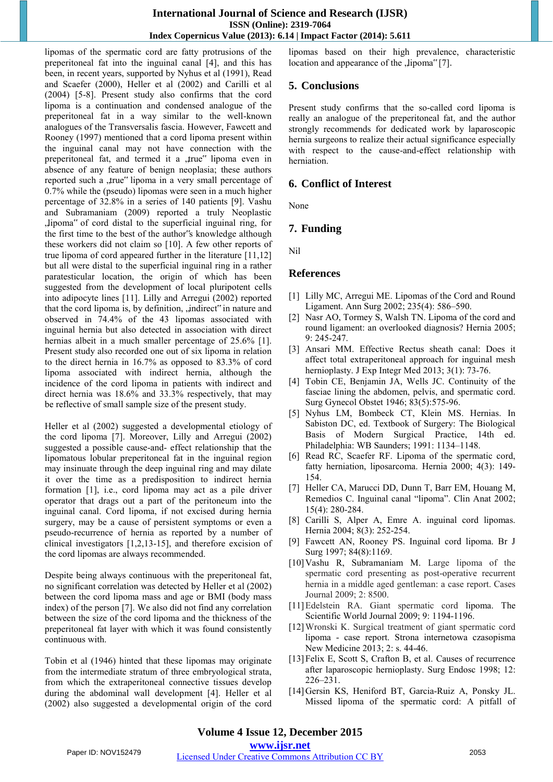## **International Journal of Science and Research (IJSR) ISSN (Online): 2319-7064 Index Copernicus Value (2013): 6.14 | Impact Factor (2014): 5.611**

lipomas of the spermatic cord are fatty protrusions of the preperitoneal fat into the inguinal canal [4], and this has been, in recent years, supported by Nyhus et al (1991), Read and Scaefer (2000), Heller et al (2002) and Carilli et al (2004) [5-8]. Present study also confirms that the cord lipoma is a continuation and condensed analogue of the preperitoneal fat in a way similar to the well-known analogues of the Transversalis fascia. However, Fawcett and Rooney (1997) mentioned that a cord lipoma present within the inguinal canal may not have connection with the preperitoneal fat, and termed it a "true" lipoma even in absence of any feature of benign neoplasia; these authors reported such a ,true" lipoma in a very small percentage of 0.7% while the (pseudo) lipomas were seen in a much higher percentage of 32.8% in a series of 140 patients [9]. Vashu and Subramaniam (2009) reported a truly Neoplastic "lipoma" of cord distal to the superficial inguinal ring, for the first time to the best of the author"s knowledge although these workers did not claim so [10]. A few other reports of true lipoma of cord appeared further in the literature [11,12] but all were distal to the superficial inguinal ring in a rather paratesticular location, the origin of which has been suggested from the development of local pluripotent cells into adipocyte lines [11]. Lilly and Arregui (2002) reported that the cord lipoma is, by definition, , indirect" in nature and observed in 74.4% of the 43 lipomas associated with inguinal hernia but also detected in association with direct hernias albeit in a much smaller percentage of 25.6% [1]. Present study also recorded one out of six lipoma in relation to the direct hernia in 16.7% as opposed to 83.3% of cord lipoma associated with indirect hernia, although the incidence of the cord lipoma in patients with indirect and direct hernia was 18.6% and 33.3% respectively, that may be reflective of small sample size of the present study.

Heller et al (2002) suggested a developmental etiology of the cord lipoma [7]. Moreover, Lilly and Arregui (2002) suggested a possible cause-and- effect relationship that the lipomatous lobular preperitoneal fat in the inguinal region may insinuate through the deep inguinal ring and may dilate it over the time as a predisposition to indirect hernia formation [1], i.e., cord lipoma may act as a pile driver operator that drags out a part of the peritoneum into the inguinal canal. Cord lipoma, if not excised during hernia surgery, may be a cause of persistent symptoms or even a pseudo-recurrence of hernia as reported by a number of clinical investigators [1,2,13-15], and therefore excision of the cord lipomas are always recommended.

Despite being always continuous with the preperitoneal fat, no significant correlation was detected by Heller et al (2002) between the cord lipoma mass and age or BMI (body mass index) of the person [7]. We also did not find any correlation between the size of the cord lipoma and the thickness of the preperitoneal fat layer with which it was found consistently continuous with.

Tobin et al (1946) hinted that these lipomas may originate from the intermediate stratum of three embryological strata, from which the extraperitoneal connective tissues develop during the abdominal wall development [4]. Heller et al (2002) also suggested a developmental origin of the cord

lipomas based on their high prevalence, characteristic location and appearance of the ,lipoma" [7].

# **5. Conclusions**

Present study confirms that the so-called cord lipoma is really an analogue of the preperitoneal fat, and the author strongly recommends for dedicated work by laparoscopic hernia surgeons to realize their actual significance especially with respect to the cause-and-effect relationship with herniation.

# **6. Conflict of Interest**

None

# **7. Funding**

Nil

## **References**

- [1] Lilly MC, Arregui ME. Lipomas of the Cord and Round Ligament. Ann Surg 2002; 235(4): 586–590.
- [2] Nasr AO, Tormey S, Walsh TN. Lipoma of the cord and round ligament: an overlooked diagnosis? Hernia 2005; 9: 245-247.
- [3] Ansari MM. Effective Rectus sheath canal: Does it affect total extraperitoneal approach for inguinal mesh hernioplasty. J Exp Integr Med 2013; 3(1): 73-76.
- [4] Tobin CE, Benjamin JA, Wells JC. Continuity of the fasciae lining the abdomen, pelvis, and spermatic cord. Surg Gynecol Obstet 1946; 83(5):575-96.
- [5] Nyhus LM, Bombeck CT, Klein MS. Hernias. In Sabiston DC, ed. Textbook of Surgery: The Biological Basis of Modern Surgical Practice, 14th ed. Philadelphia: WB Saunders; 1991: 1134–1148.
- [6] Read RC, Scaefer RF. Lipoma of the spermatic cord, fatty herniation, liposarcoma. Hernia 2000; 4(3): 149- 154.
- [7] Heller CA, Marucci DD, Dunn T, Barr EM, Houang M, Remedios C. Inguinal canal "lipoma". Clin Anat 2002; 15(4): 280-284.
- [8] Carilli S, Alper A, Emre A. inguinal cord lipomas. Hernia 2004; 8(3): 252-254.
- [9] Fawcett AN, Rooney PS. Inguinal cord lipoma. Br J Surg 1997; 84(8):1169.
- [10]Vashu R, Subramaniam M. Large lipoma of the spermatic cord presenting as post-operative recurrent hernia in a middle aged gentleman: a case report. Cases Journal 2009; 2: 8500.
- [11]Edelstein RA. Giant spermatic cord lipoma. The Scientific World Journal 2009; 9: 1194-1196.
- [12]Wronski K. Surgical treatment of giant spermatic cord lipoma - case report. Strona internetowa czasopisma New Medicine 2013; 2: s. 44-46.
- [13] Felix E, Scott S, Crafton B, et al. Causes of recurrence after laparoscopic hernioplasty. Surg Endosc 1998; 12: 226–231.
- [14]Gersin KS, Heniford BT, Garcia-Ruiz A, Ponsky JL. Missed lipoma of the spermatic cord: A pitfall of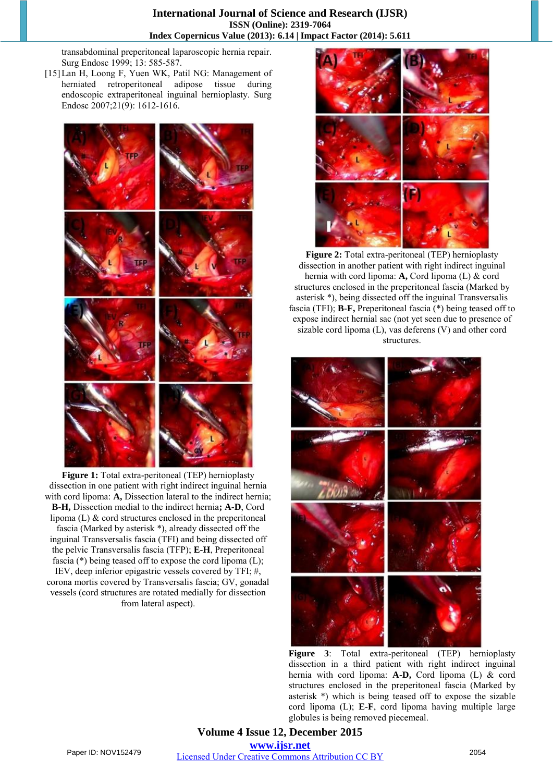transabdominal preperitoneal laparoscopic hernia repair. Surg Endosc 1999; 13: 585-587.

[15]Lan H, Loong F, Yuen WK, Patil NG: Management of herniated retroperitoneal adipose tissue during endoscopic extraperitoneal inguinal hernioplasty. Surg Endosc 2007;21(9): 1612-1616.



**Figure 1:** Total extra-peritoneal (TEP) hernioplasty dissection in one patient with right indirect inguinal hernia with cord lipoma: **A**, Dissection lateral to the indirect hernia; **B-H,** Dissection medial to the indirect hernia**; A-D**, Cord lipoma (L) & cord structures enclosed in the preperitoneal fascia (Marked by asterisk \*), already dissected off the inguinal Transversalis fascia (TFI) and being dissected off the pelvic Transversalis fascia (TFP); **E-H**, Preperitoneal fascia (\*) being teased off to expose the cord lipoma (L); IEV, deep inferior epigastric vessels covered by TFI; #, corona mortis covered by Transversalis fascia; GV, gonadal vessels (cord structures are rotated medially for dissection from lateral aspect).



**Figure 2:** Total extra-peritoneal (TEP) hernioplasty dissection in another patient with right indirect inguinal hernia with cord lipoma: **A,** Cord lipoma (L) & cord structures enclosed in the preperitoneal fascia (Marked by asterisk \*), being dissected off the inguinal Transversalis fascia (TFI); **B-F,** Preperitoneal fascia (\*) being teased off to expose indirect hernial sac (not yet seen due to presence of sizable cord lipoma (L), vas deferens (V) and other cord structures.



**Figure 3**: Total extra-peritoneal (TEP) hernioplasty dissection in a third patient with right indirect inguinal hernia with cord lipoma: **A-D,** Cord lipoma (L) & cord structures enclosed in the preperitoneal fascia (Marked by asterisk \*) which is being teased off to expose the sizable cord lipoma (L); **E-F**, cord lipoma having multiple large globules is being removed piecemeal.